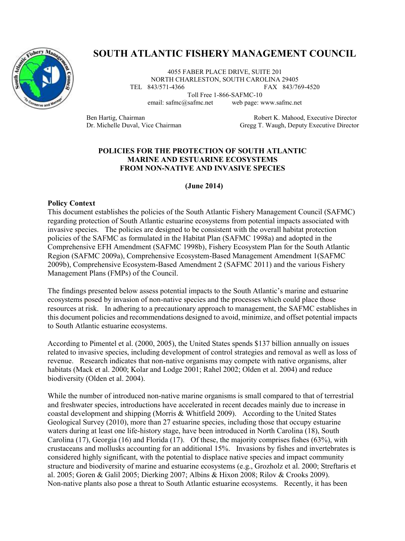

# **SOUTH ATLANTIC FISHERY MANAGEMENT COUNCIL**

4055 FABER PLACE DRIVE, SUITE 201 NORTH CHARLESTON, SOUTH CAROLINA 29405<br>TEL 843/571-4366 FAX 843/76 FAX 843/769-4520

Toll Free 1-866-SAFMC-10

email: safmc@safmc.net web page: www.safmc.net

Ben Hartig, Chairman **Branch Chairman** Robert K. Mahood, Executive Director Dr. Michelle Duval, Vice Chairman Gregg T. Waugh, Deputy Executive Director

### **POLICIES FOR THE PROTECTION OF SOUTH ATLANTIC MARINE AND ESTUARINE ECOSYSTEMS FROM NON-NATIVE AND INVASIVE SPECIES**

#### **(June 2014)**

#### **Policy Context**

This document establishes the policies of the South Atlantic Fishery Management Council (SAFMC) regarding protection of South Atlantic estuarine ecosystems from potential impacts associated with invasive species. The policies are designed to be consistent with the overall habitat protection policies of the SAFMC as formulated in the Habitat Plan (SAFMC 1998a) and adopted in the Comprehensive EFH Amendment (SAFMC 1998b), Fishery Ecosystem Plan for the South Atlantic Region (SAFMC 2009a), Comprehensive Ecosystem-Based Management Amendment 1(SAFMC 2009b), Comprehensive Ecosystem-Based Amendment 2 (SAFMC 2011) and the various Fishery Management Plans (FMPs) of the Council.

The findings presented below assess potential impacts to the South Atlantic's marine and estuarine ecosystems posed by invasion of non-native species and the processes which could place those resources at risk. In adhering to a precautionary approach to management, the SAFMC establishes in this document policies and recommendations designed to avoid, minimize, and offset potential impacts to South Atlantic estuarine ecosystems.

According to Pimentel et al. (2000, 2005), the United States spends \$137 billion annually on issues related to invasive species, including development of control strategies and removal as well as loss of revenue. Research indicates that non-native organisms may compete with native organisms, alter habitats (Mack et al. 2000; Kolar and Lodge 2001; Rahel 2002; Olden et al. 2004) and reduce biodiversity (Olden et al. 2004).

While the number of introduced non-native marine organisms is small compared to that of terrestrial and freshwater species, introductions have accelerated in recent decades mainly due to increase in coastal development and shipping (Morris & Whitfield 2009). According to the United States Geological Survey (2010), more than 27 estuarine species, including those that occupy estuarine waters during at least one life-history stage, have been introduced in North Carolina (18), South Carolina (17), Georgia (16) and Florida (17). Of these, the majority comprises fishes (63%), with crustaceans and mollusks accounting for an additional 15%. Invasions by fishes and invertebrates is considered highly significant, with the potential to displace native species and impact community structure and biodiversity of marine and estuarine ecosystems (e.g., Grozholz et al. 2000; Streftaris et al. 2005; Goren & Galil 2005; Dierking 2007; Albins & Hixon 2008; Rilov & Crooks 2009). Non-native plants also pose a threat to South Atlantic estuarine ecosystems. Recently, it has been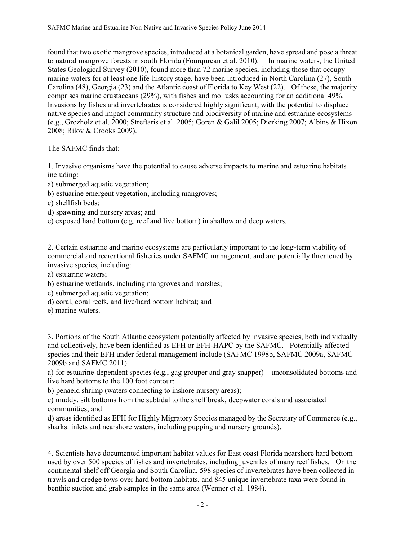found that two exotic mangrove species, introduced at a botanical garden, have spread and pose a threat to natural mangrove forests in south Florida (Fourqurean et al. 2010). In marine waters, the United States Geological Survey (2010), found more than 72 marine species, including those that occupy marine waters for at least one life-history stage, have been introduced in North Carolina (27), South Carolina (48), Georgia (23) and the Atlantic coast of Florida to Key West (22). Of these, the majority comprises marine crustaceans (29%), with fishes and mollusks accounting for an additional 49%. Invasions by fishes and invertebrates is considered highly significant, with the potential to displace native species and impact community structure and biodiversity of marine and estuarine ecosystems (e.g., Grozholz et al. 2000; Streftaris et al. 2005; Goren & Galil 2005; Dierking 2007; Albins & Hixon 2008; Rilov & Crooks 2009).

The SAFMC finds that:

1. Invasive organisms have the potential to cause adverse impacts to marine and estuarine habitats including:

a) submerged aquatic vegetation;

b) estuarine emergent vegetation, including mangroves;

c) shellfish beds;

d) spawning and nursery areas; and

e) exposed hard bottom (e.g. reef and live bottom) in shallow and deep waters.

2. Certain estuarine and marine ecosystems are particularly important to the long-term viability of commercial and recreational fisheries under SAFMC management, and are potentially threatened by invasive species, including:

a) estuarine waters;

b) estuarine wetlands, including mangroves and marshes;

c) submerged aquatic vegetation;

d) coral, coral reefs, and live/hard bottom habitat; and

e) marine waters.

3. Portions of the South Atlantic ecosystem potentially affected by invasive species, both individually and collectively, have been identified as EFH or EFH-HAPC by the SAFMC. Potentially affected species and their EFH under federal management include (SAFMC 1998b, SAFMC 2009a, SAFMC 2009b and SAFMC 2011):

a) for estuarine-dependent species (e.g., gag grouper and gray snapper) – unconsolidated bottoms and live hard bottoms to the 100 foot contour;

b) penaeid shrimp (waters connecting to inshore nursery areas);

c) muddy, silt bottoms from the subtidal to the shelf break, deepwater corals and associated communities; and

d) areas identified as EFH for Highly Migratory Species managed by the Secretary of Commerce (e.g., sharks: inlets and nearshore waters, including pupping and nursery grounds).

4. Scientists have documented important habitat values for East coast Florida nearshore hard bottom used by over 500 species of fishes and invertebrates, including juveniles of many reef fishes. On the continental shelf off Georgia and South Carolina, 598 species of invertebrates have been collected in trawls and dredge tows over hard bottom habitats, and 845 unique invertebrate taxa were found in benthic suction and grab samples in the same area (Wenner et al. 1984).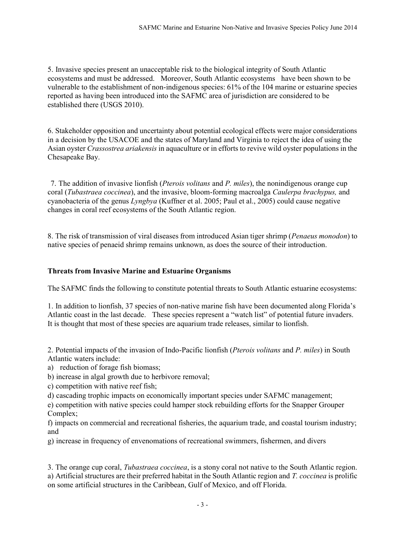5. Invasive species present an unacceptable risk to the biological integrity of South Atlantic ecosystems and must be addressed. Moreover, South Atlantic ecosystems have been shown to be vulnerable to the establishment of non-indigenous species: 61% of the 104 marine or estuarine species reported as having been introduced into the SAFMC area of jurisdiction are considered to be established there (USGS 2010).

6. Stakeholder opposition and uncertainty about potential ecological effects were major considerations in a decision by the USACOE and the states of Maryland and Virginia to reject the idea of using the Asian oyster *Crassostrea ariakensis* in aquaculture or in efforts to revive wild oyster populations in the Chesapeake Bay.

7. The addition of invasive lionfish (*Pterois volitans* and *P. miles*), the nonindigenous orange cup coral (*Tubastraea coccinea*), and the invasive, bloom-forming macroalga *Caulerpa brachypus,* and cyanobacteria of the genus *Lyngbya* (Kuffner et al. 2005; Paul et al., 2005) could cause negative changes in coral reef ecosystems of the South Atlantic region.

8. The risk of transmission of viral diseases from introduced Asian tiger shrimp (*Penaeus monodon*) to native species of penaeid shrimp remains unknown, as does the source of their introduction.

## **Threats from Invasive Marine and Estuarine Organisms**

The SAFMC finds the following to constitute potential threats to South Atlantic estuarine ecosystems:

1. In addition to lionfish, 37 species of non-native marine fish have been documented along Florida's Atlantic coast in the last decade. These species represent a "watch list" of potential future invaders. It is thought that most of these species are aquarium trade releases, similar to lionfish.

2. Potential impacts of the invasion of Indo-Pacific lionfish (*Pterois volitans* and *P. miles*) in South Atlantic waters include:

a) reduction of forage fish biomass;

b) increase in algal growth due to herbivore removal;

c) competition with native reef fish;

d) cascading trophic impacts on economically important species under SAFMC management;

e) competition with native species could hamper stock rebuilding efforts for the Snapper Grouper Complex;

f) impacts on commercial and recreational fisheries, the aquarium trade, and coastal tourism industry; and

g) increase in frequency of envenomations of recreational swimmers, fishermen, and divers

3. The orange cup coral, *Tubastraea coccinea*, is a stony coral not native to the South Atlantic region. a) Artificial structures are their preferred habitat in the South Atlantic region and *T. coccinea* is prolific on some artificial structures in the Caribbean, Gulf of Mexico, and off Florida.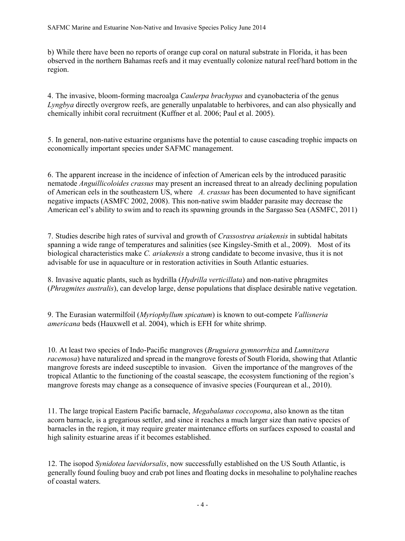b) While there have been no reports of orange cup coral on natural substrate in Florida, it has been observed in the northern Bahamas reefs and it may eventually colonize natural reef/hard bottom in the region.

4. The invasive, bloom-forming macroalga *Caulerpa brachypus* and cyanobacteria of the genus *Lyngbya* directly overgrow reefs, are generally unpalatable to herbivores, and can also physically and chemically inhibit coral recruitment (Kuffner et al. 2006; Paul et al. 2005).

5. In general, non-native estuarine organisms have the potential to cause cascading trophic impacts on economically important species under SAFMC management.

6. The apparent increase in the incidence of infection of American eels by the introduced parasitic nematode *Anguillicoloides crassus* may present an increased threat to an already declining population of American eels in the southeastern US, where *A. crassus* has been documented to have significant negative impacts (ASMFC 2002, 2008). This non-native swim bladder parasite may decrease the American eel's ability to swim and to reach its spawning grounds in the Sargasso Sea (ASMFC, 2011)

7. Studies describe high rates of survival and growth of *Crassostrea ariakensis* in subtidal habitats spanning a wide range of temperatures and salinities (see Kingsley-Smith et al., 2009). Most of its biological characteristics make *C. ariakensis* a strong candidate to become invasive, thus it is not advisable for use in aquaculture or in restoration activities in South Atlantic estuaries.

8. Invasive aquatic plants, such as hydrilla (*Hydrilla verticillata*) and non-native phragmites (*Phragmites australis*), can develop large, dense populations that displace desirable native vegetation.

9. The Eurasian watermilfoil (*Myriophyllum spicatum*) is known to out-compete *Vallisneria americana* beds (Hauxwell et al. 2004), which is EFH for white shrimp.

10. At least two species of Indo-Pacific mangroves (*Bruguiera gymnorrhiza* and *Lumnitzera racemosa*) have naturalized and spread in the mangrove forests of South Florida, showing that Atlantic mangrove forests are indeed susceptible to invasion. Given the importance of the mangroves of the tropical Atlantic to the functioning of the coastal seascape, the ecosystem functioning of the region's mangrove forests may change as a consequence of invasive species (Fourqurean et al., 2010).

11. The large tropical Eastern Pacific barnacle, *Megabalanus coccopoma*, also known as the titan acorn barnacle, is a gregarious settler, and since it reaches a much larger size than native species of barnacles in the region, it may require greater maintenance efforts on surfaces exposed to coastal and high salinity estuarine areas if it becomes established.

12. The isopod *Synidotea laevidorsalis*, now successfully established on the US South Atlantic, is generally found fouling buoy and crab pot lines and floating docks in mesohaline to polyhaline reaches of coastal waters.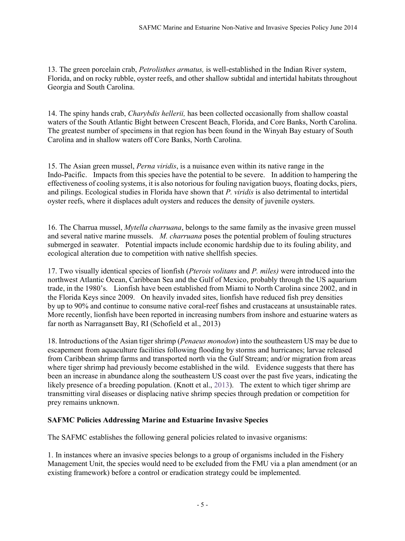13. The green porcelain crab, *Petrolisthes armatus,* is well-established in the Indian River system, Florida, and on rocky rubble, oyster reefs, and other shallow subtidal and intertidal habitats throughout Georgia and South Carolina.

14. The spiny hands crab, *Charybdis hellerii,* has been collected occasionally from shallow coastal waters of the South Atlantic Bight between Crescent Beach, Florida, and Core Banks, North Carolina. The greatest number of specimens in that region has been found in the Winyah Bay estuary of South Carolina and in shallow waters off Core Banks, North Carolina.

15. The Asian green mussel, *Perna viridis*, is a nuisance even within its native range in the Indo-Pacific. Impacts from this species have the potential to be severe. In addition to hampering the effectiveness of cooling systems, it is also notorious for fouling navigation buoys, floating docks, piers, and pilings. Ecological studies in Florida have shown that *P. viridis* is also detrimental to intertidal oyster reefs, where it displaces adult oysters and reduces the density of juvenile oysters.

16. The Charrua mussel, *Mytella charruana*, belongs to the same family as the invasive green mussel and several native marine mussels. *M. charruana* poses the potential problem of fouling structures submerged in seawater. Potential impacts include economic hardship due to its fouling ability, and ecological alteration due to competition with native shellfish species.

17. Two visually identical species of lionfish (*Pterois volitans* and *P. miles)* were introduced into the northwest Atlantic Ocean, Caribbean Sea and the Gulf of Mexico, probably through the US aquarium trade, in the 1980's. Lionfish have been established from Miami to North Carolina since 2002, and in the Florida Keys since 2009. On heavily invaded sites, lionfish have reduced fish prey densities by up to 90% and continue to consume native coral-reef fishes and crustaceans at unsustainable rates. More recently, lionfish have been reported in increasing numbers from inshore and estuarine waters as far north as Narragansett Bay, RI (Schofield et al., 2013)

18. Introductions of the Asian tiger shrimp (*Penaeus monodon*) into the southeastern US may be due to escapement from aquaculture facilities following flooding by storms and hurricanes; larvae released from Caribbean shrimp farms and transported north via the Gulf Stream; and/or migration from areas where tiger shrimp had previously become established in the wild. Evidence suggests that there has been an increase in abundance along the southeastern US coast over the past five years, indicating the likely presence of a breeding population. (Knott et al., 2013). The extent to which tiger shrimp are transmitting viral diseases or displacing native shrimp species through predation or competition for prey remains unknown.

## **SAFMC Policies Addressing Marine and Estuarine Invasive Species**

The SAFMC establishes the following general policies related to invasive organisms:

1. In instances where an invasive species belongs to a group of organisms included in the Fishery Management Unit, the species would need to be excluded from the FMU via a plan amendment (or an existing framework) before a control or eradication strategy could be implemented.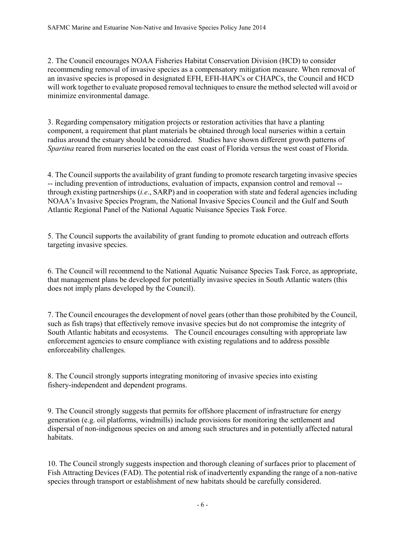2. The Council encourages NOAA Fisheries Habitat Conservation Division (HCD) to consider recommending removal of invasive species as a compensatory mitigation measure. When removal of an invasive species is proposed in designated EFH, EFH-HAPCs or CHAPCs, the Council and HCD will work together to evaluate proposed removal techniques to ensure the method selected will avoid or minimize environmental damage.

3. Regarding compensatory mitigation projects or restoration activities that have a planting component, a requirement that plant materials be obtained through local nurseries within a certain radius around the estuary should be considered. Studies have shown different growth patterns of *Spartina* reared from nurseries located on the east coast of Florida versus the west coast of Florida.

4. The Council supports the availability of grant funding to promote research targeting invasive species -- including prevention of introductions, evaluation of impacts, expansion control and removal - through existing partnerships (*i.e*., SARP) and in cooperation with state and federal agencies including NOAA's Invasive Species Program, the National Invasive Species Council and the Gulf and South Atlantic Regional Panel of the National Aquatic Nuisance Species Task Force.

5. The Council supports the availability of grant funding to promote education and outreach efforts targeting invasive species.

6. The Council will recommend to the National Aquatic Nuisance Species Task Force, as appropriate, that management plans be developed for potentially invasive species in South Atlantic waters (this does not imply plans developed by the Council).

7. The Council encourages the development of novel gears (other than those prohibited by the Council, such as fish traps) that effectively remove invasive species but do not compromise the integrity of South Atlantic habitats and ecosystems. The Council encourages consulting with appropriate law enforcement agencies to ensure compliance with existing regulations and to address possible enforceability challenges.

8. The Council strongly supports integrating monitoring of invasive species into existing fishery-independent and dependent programs.

9. The Council strongly suggests that permits for offshore placement of infrastructure for energy generation (e.g. oil platforms, windmills) include provisions for monitoring the settlement and dispersal of non-indigenous species on and among such structures and in potentially affected natural habitats.

10. The Council strongly suggests inspection and thorough cleaning of surfaces prior to placement of Fish Attracting Devices (FAD). The potential risk of inadvertently expanding the range of a non-native species through transport or establishment of new habitats should be carefully considered.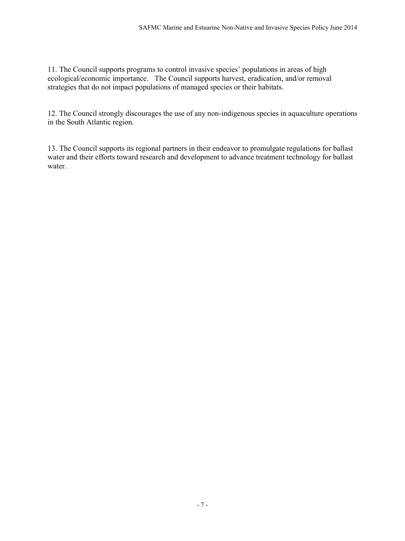11. The Council supports programs to control invasive species' populations in areas of high ecological/economic importance. The Council supports harvest, eradication, and/or removal strategies that do not impact populations of managed species or their habitats.

12. The Council strongly discourages the use of any non-indigenous species in aquaculture operations in the South Atlantic region.

13. The Council supports its regional partners in their endeavor to promulgate regulations for ballast water and their efforts toward research and development to advance treatment technology for ballast water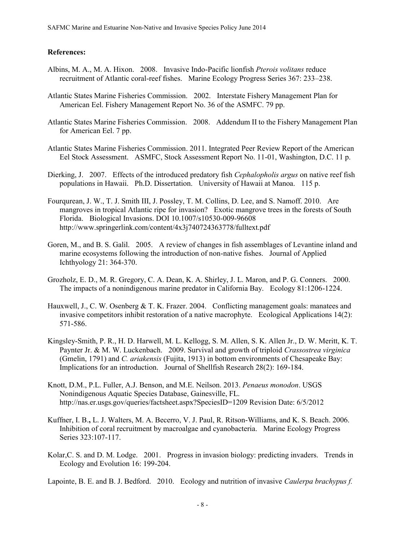#### **References:**

- Albins, M. A., M. A. Hixon. 2008. Invasive Indo-Pacific lionfish *Pterois volitans* reduce recruitment of Atlantic coral-reef fishes. Marine Ecology Progress Series 367: 233–238.
- Atlantic States Marine Fisheries Commission. 2002. Interstate Fishery Management Plan for American Eel. Fishery Management Report No. 36 of the ASMFC. 79 pp.
- Atlantic States Marine Fisheries Commission. 2008. Addendum II to the Fishery Management Plan for American Eel. 7 pp.
- Atlantic States Marine Fisheries Commission. 2011. Integrated Peer Review Report of the American Eel Stock Assessment. ASMFC, Stock Assessment Report No. 11-01, Washington, D.C. 11 p.
- Dierking, J. 2007. Effects of the introduced predatory fish *Cephalopholis argus* on native reef fish populations in Hawaii. Ph.D. Dissertation. University of Hawaii at Manoa. 115 p.
- Fourqurean, J. W., T. J. Smith III, J. Possley, T. M. Collins, D. Lee, and S. Namoff. 2010. Are mangroves in tropical Atlantic ripe for invasion? Exotic mangrove trees in the forests of South Florida. Biological Invasions. DOI 10.1007/s10530-009-96608 <http://www.springerlink.com/content/4x3j740724363778/fulltext.pdf>
- Goren, M., and B. S. Galil. 2005. A review of changes in fish assemblages of Levantine inland and marine ecosystems following the introduction of non-native fishes. Journal of Applied Ichthyology 21: 364-370.
- Grozholz, E. D., M. R. Gregory, C. A. Dean, K. A. Shirley, J. L. Maron, and P. G. Conners. 2000. The impacts of a nonindigenous marine predator in California Bay. Ecology 81:1206-1224.
- Hauxwell, J., C. W. Osenberg & T. K. Frazer. 2004. Conflicting management goals: manatees and invasive competitors inhibit restoration of a native macrophyte. Ecological Applications 14(2): 571-586.
- Kingsley-Smith, P. R., H. D. Harwell, M. L. Kellogg, S. M. Allen, S. K. Allen Jr., D. W. Meritt, K. T. Paynter Jr. & M. W. Luckenbach. 2009. Survival and growth of triploid *Crassostrea virginica* (Gmelin, 1791) and *C. ariakensis* (Fujita, 1913) in bottom environments of Chesapeake Bay: Implications for an introduction. Journal of Shellfish Research 28(2): 169-184.
- Knott, D.M., P.L. Fuller, A.J. Benson, and M.E. Neilson. 2013. *Penaeus monodon*. USGS Nonindigenous Aquatic Species Database, Gainesville, FL. http://nas.er.usgs.gov/queries/factsheet.aspx?SpeciesID=1209 Revision Date: 6/5/2012
- Kuffner, I. B.**,** L. J. Walters, M. A. Becerro, V. J. Paul, R. Ritson-Williams, and K. S. Beach. 2006. Inhibition of coral recruitment by macroalgae and cyanobacteria. Marine Ecology Progress Series 323:107-117.
- Kolar,C. S. and D. M. Lodge. 2001. Progress in invasion biology: predicting invaders. Trends in Ecology and Evolution 16: 199-204.

Lapointe, B. E. and B. J. Bedford. 2010. Ecology and nutrition of invasive *Caulerpa brachypus f.*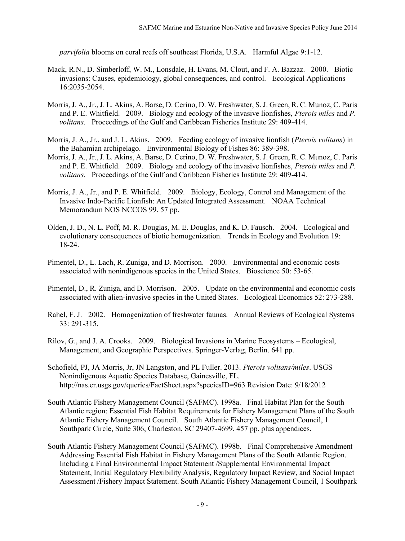*parvifolia* blooms on coral reefs off southeast Florida, U.S.A. Harmful Algae 9:1-12.

- Mack, R.N., D. Simberloff, W. M., Lonsdale, H. Evans, M. Clout, and F. A. Bazzaz. 2000. Biotic invasions: Causes, epidemiology, global consequences, and control. Ecological Applications 16:2035-2054.
- Morris, J. A., Jr., J. L. Akins, A. Barse, D. Cerino, D. W. Freshwater, S. J. Green, R. C. Munoz, C. Paris and P. E. Whitfield. 2009. Biology and ecology of the invasive lionfishes, *Pterois miles* and *P. volitans*. Proceedings of the Gulf and Caribbean Fisheries Institute 29: 409-414.
- Morris, J. A., Jr., and J. L. Akins. 2009. Feeding ecology of invasive lionfish (*Pterois volitans*) in the Bahamian archipelago. Environmental Biology of Fishes 86: 389-398.
- Morris, J. A., Jr., J. L. Akins, A. Barse, D. Cerino, D. W. Freshwater, S. J. Green, R. C. Munoz, C. Paris and P. E. Whitfield. 2009. Biology and ecology of the invasive lionfishes, *Pterois miles* and *P. volitans*. Proceedings of the Gulf and Caribbean Fisheries Institute 29: 409-414.
- Morris, J. A., Jr., and P. E. Whitfield. 2009. Biology, Ecology, Control and Management of the Invasive Indo-Pacific Lionfish: An Updated Integrated Assessment. NOAA Technical Memorandum NOS NCCOS 99. 57 pp.
- Olden, J. D., N. L. Poff, M. R. Douglas, M. E. Douglas, and K. D. Fausch. 2004. Ecological and evolutionary consequences of biotic homogenization. Trends in Ecology and Evolution 19: 18-24.
- Pimentel, D., L. Lach, R. Zuniga, and D. Morrison. 2000. Environmental and economic costs associated with nonindigenous species in the United States. Bioscience 50: 53-65.
- Pimentel, D., R. Zuniga, and D. Morrison. 2005. Update on the environmental and economic costs associated with alien-invasive species in the United States. Ecological Economics 52: 273-288.
- Rahel, F. J. 2002. Homogenization of freshwater faunas. Annual Reviews of Ecological Systems 33: 291-315.
- Rilov, G., and J. A. Crooks. 2009. Biological Invasions in Marine Ecosystems Ecological, Management, and Geographic Perspectives. Springer-Verlag, Berlin. 641 pp.
- Schofield, PJ, JA Morris, Jr, JN Langston, and PL Fuller. 2013. *Pterois volitans/miles*. USGS Nonindigenous Aquatic Species Database, Gainesville, FL. http://nas.er.usgs.gov/queries/FactSheet.aspx?speciesID=963 Revision Date: 9/18/2012
- South Atlantic Fishery Management Council (SAFMC). 1998a. Final Habitat Plan for the South Atlantic region: Essential Fish Habitat Requirements for Fishery Management Plans of the South Atlantic Fishery Management Council. South Atlantic Fishery Management Council, 1 Southpark Circle, Suite 306, Charleston, SC 29407-4699. 457 pp. plus appendices.
- South Atlantic Fishery Management Council (SAFMC). 1998b. Final Comprehensive Amendment Addressing Essential Fish Habitat in Fishery Management Plans of the South Atlantic Region. Including a Final Environmental Impact Statement /Supplemental Environmental Impact Statement, Initial Regulatory Flexibility Analysis, Regulatory Impact Review, and Social Impact Assessment /Fishery Impact Statement. South Atlantic Fishery Management Council, 1 Southpark